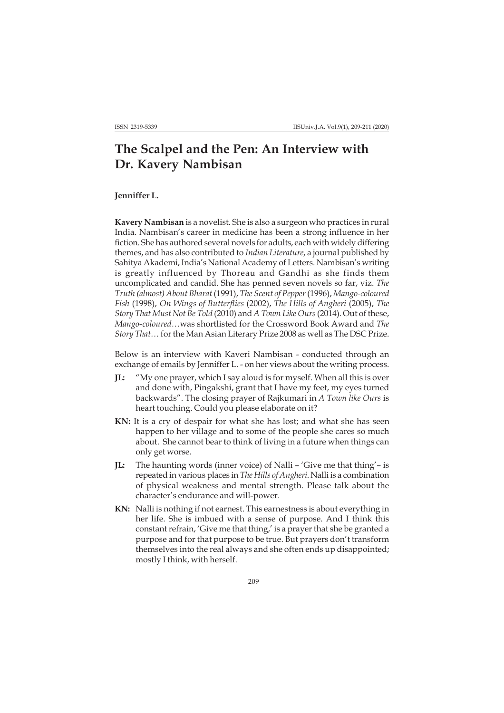## **The Scalpel and the Pen: An Interview with Dr. Kavery Nambisan**

## **Jenniffer L.**

**Kavery Nambisan** is a novelist. She is also a surgeon who practices in rural India. Nambisan's career in medicine has been a strong influence in her fiction. She has authored several novels for adults, each with widely differing themes, and has also contributed to *Indian Literature*, a journal published by Sahitya Akademi, India's National Academy of Letters. Nambisan's writing is greatly influenced by Thoreau and Gandhi as she finds them uncomplicated and candid. She has penned seven novels so far, viz. *The Truth (almost) About Bharat* (1991), *The Scent of Pepper* (1996), *Mango-coloured Fish* (1998), *On Wings of Butterflies* (2002), *The Hills of Angheri* (2005), *The Story That Must Not Be Told* (2010) and *A Town Like Ours* (2014). Out of these, *Mango-coloured…*was shortlisted for the Crossword Book Award and *The Story That…* for the Man Asian Literary Prize 2008 as well as The DSC Prize.

Below is an interview with Kaveri Nambisan - conducted through an exchange of emails by Jenniffer L. - on her views about the writing process.

- **JL:** "My one prayer, which I say aloud is for myself. When all this is over and done with, Pingakshi, grant that I have my feet, my eyes turned backwards". The closing prayer of Rajkumari in *A Town like Ours* is heart touching. Could you please elaborate on it?
- KN: It is a cry of despair for what she has lost; and what she has seen happen to her village and to some of the people she cares so much about. She cannot bear to think of living in a future when things can only get worse.
- **JL:** The haunting words (inner voice) of Nalli 'Give me that thing'– is repeated in various places in *The Hills of Angheri*. Nalli is a combination of physical weakness and mental strength. Please talk about the character's endurance and will-power.
- **KN:** Nalli is nothing if not earnest. This earnestness is about everything in her life. She is imbued with a sense of purpose. And I think this constant refrain, 'Give me that thing,' is a prayer that she be granted a purpose and for that purpose to be true. But prayers don't transform themselves into the real always and she often ends up disappointed; mostly I think, with herself.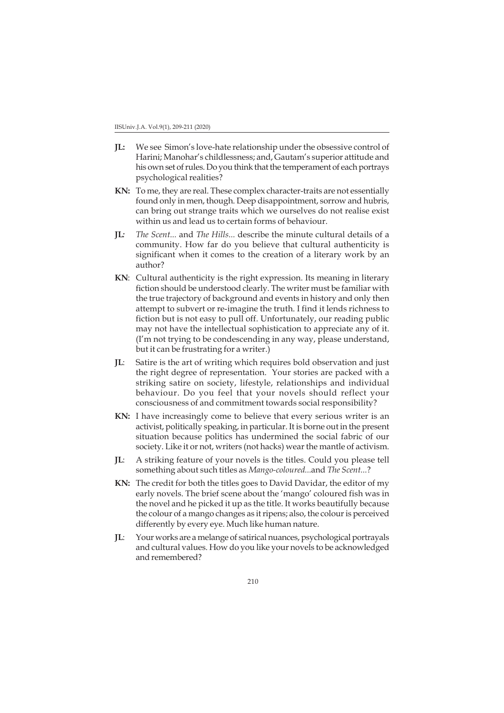- **JL:** We see Simon's love-hate relationship under the obsessive control of Harini; Manohar's childlessness; and, Gautam's superior attitude and his own set of rules. Do you think that the temperament of each portrays psychological realities?
- **KN:** To me, they are real. These complex character-traits are not essentially found only in men, though. Deep disappointment, sorrow and hubris, can bring out strange traits which we ourselves do not realise exist within us and lead us to certain forms of behaviour.
- **JL***: The Scent...* and *The Hills...* describe the minute cultural details of a community. How far do you believe that cultural authenticity is significant when it comes to the creation of a literary work by an author?
- **KN**: Cultural authenticity is the right expression. Its meaning in literary fiction should be understood clearly. The writer must be familiar with the true trajectory of background and events in history and only then attempt to subvert or re-imagine the truth. I find it lends richness to fiction but is not easy to pull off. Unfortunately, our reading public may not have the intellectual sophistication to appreciate any of it. (I'm not trying to be condescending in any way, please understand, but it can be frustrating for a writer.)
- **JL**: Satire is the art of writing which requires bold observation and just the right degree of representation. Your stories are packed with a striking satire on society, lifestyle, relationships and individual behaviour. Do you feel that your novels should reflect your consciousness of and commitment towards social responsibility?
- **KN:** I have increasingly come to believe that every serious writer is an activist, politically speaking, in particular. It is borne out in the present situation because politics has undermined the social fabric of our society. Like it or not, writers (not hacks) wear the mantle of activism.
- **JL**: A striking feature of your novels is the titles. Could you please tell something about such titles as *Mango-coloured...*and *The Scent...*?
- **KN:** The credit for both the titles goes to David Davidar, the editor of my early novels. The brief scene about the 'mango' coloured fish was in the novel and he picked it up as the title. It works beautifully because the colour of a mango changes as it ripens; also, the colour is perceived differently by every eye. Much like human nature.
- **JL**: Your works are a melange of satirical nuances, psychological portrayals and cultural values. How do you like your novels to be acknowledged and remembered?